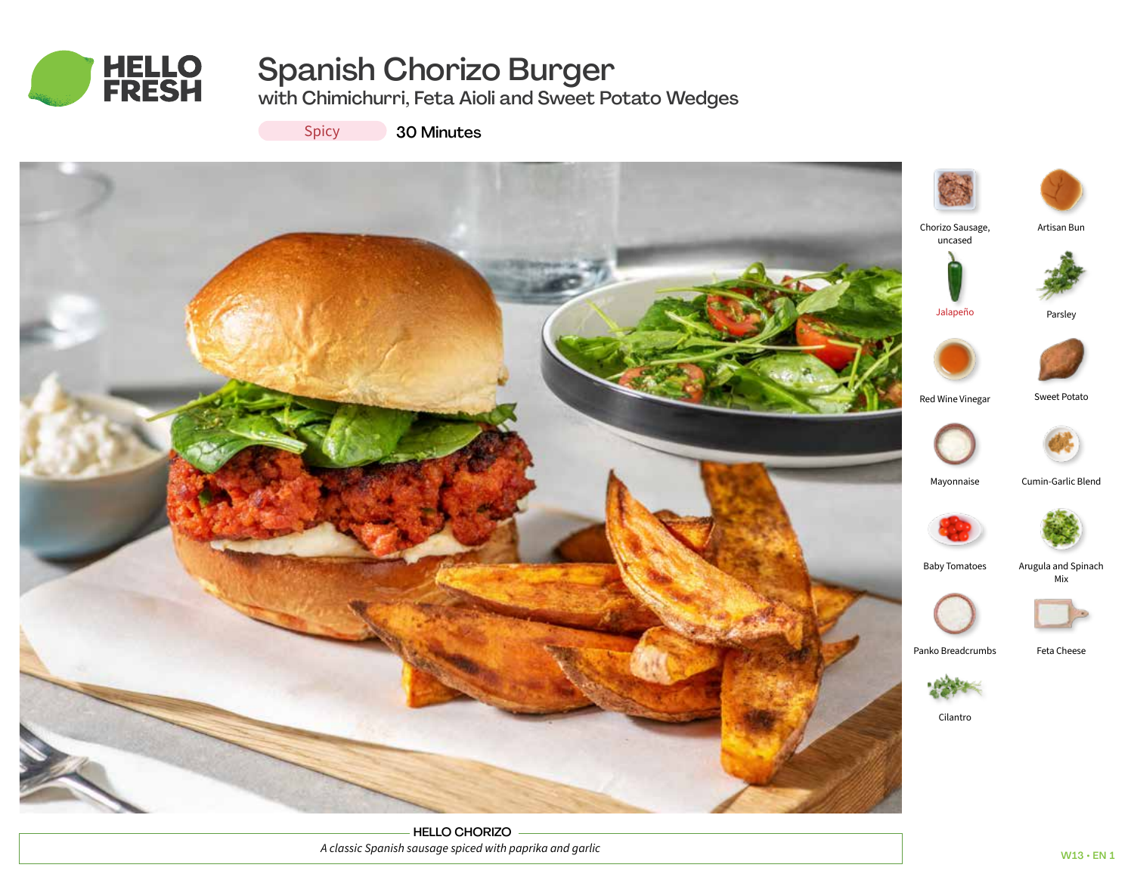

# Spanish Chorizo Burger

with Chimichurri, Feta Aioli and Sweet Potato Wedges





HELLO CHORIZO *A classic Spanish sausage spiced with paprika and garlic*